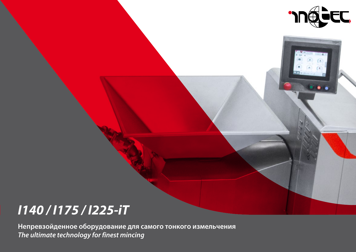

# *I140 / I175 / I225-iT*

**Непревзойденное оборудование для самого тонкого измельчения** *The ultimate technology for finest mincing*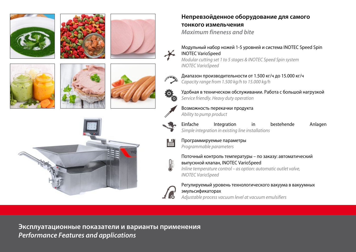



## **Непревзойденное оборудование для самого тонкого измельчения** *Maximum fineness and bite*

Модульный набор ножей 1-5 уровней и система INOTEC Speed Spin INOTEC VarioSpeed

*Modular cutting set 1 to 5 stages & INOTEC Speed Spin system INOTEC VarioSpeed*

Диапазон производительности от 1.500 кг/ч до 15.000 кг/ч *Capacity range from 1.500 kg/h to 15.000 kg/h*

Удобная в техническом обслуживании. Работа с большой нагрузкой *Service friendly. Heavy duty operation*



*Ability to pump product*





ΩĒ

Программируемые параметры *Programmable parameters*

Поточный контроль температуры – по заказу: автоматический выпускной клапан, INOTEC VarioSpeed *Inline temperature control – as option: automatic outlet valve, INOTEC VarioSpeed*

Регулируемый уровень технологического вакуума в вакуумных эмульсификаторах *Adjustable process vacuum level at vacuum emulsifiers*

**Эксплуатационные показатели и варианты применения** *Performance Features and applications*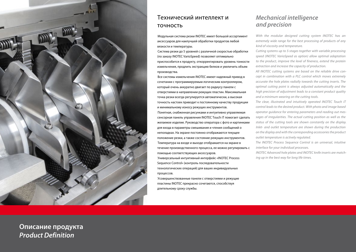

## Технический интеллект и точность

Модульная система резки INOTEC имеет большой ассортимент аксессуаров для наилучшей обработки продуктов любой вязкости и температуры.

Система резки до 5 уровней с различной скоростью обработки (по заказу INOTEC VarioSpeed) позволяет оптимально приспособится к продукту, откорректировать уровень тонкости измельчения, продлить экстракцию белков и увеличить объем производства.

Все системы измельчения INOTEC имеют надежный привод в сочетании с программируемым логическим контроллером, который очень аккуратно двигает по радиусу панели с отверстиями в направлении режущих пластин. Максимальная точка резки всегда регулируется автоматически, а высокая точность настоек приводит к постоянному качеству продукции и минимальному износу режущих инструментов. Понятная, снабженная рисунками и интуитивно управляемая сенсорная панель управления INOTEC Touch iT помогает сделать желаемое изделие. Руководство оператора с фото и картинками для входа в параметры смешивания и чтения сообщений о неполадках. На экране постоянно отображаются текущее положение резки, а также состояние режущих инструментов. Температура на входе и выходе отображается на экране в течение производственного процесса, ее можно регулировать с

Универсальный интуитивный интерфейс «INOTEC Process Sequence Control» (контроль последовательности технологических операций) для ваших индивидуальных процессов.

помощью соответствующих аксессуаров.

Усовершенствованные панели с отверстиями и режущие пластины INOTEC прекрасно сочетаются, способствуя длительному сроку службы.

### *Mechanical intelligence and precision*

*With the modular designed cutting system INOTEC has an extremely wide range for the best processing of products of any kind of viscosity and temperature.*

*Cutting systems up to 5-stages together with variable processing speed (INOTEC VarioSpeed as option) allow optimal adaptation to the product, improve the level of fineness, extend the protein extraction and increase the capacity of production.*

*All INOTEC cutting systems are based on the reliable drive concept in combination with a PLC control which moves extremely accurate the hole plates radially towards the cutting inserts. The optimal cutting point is always adjusted automatically and the high precision of adjustment leads to a constant product quality and a minimum wearing on the cutting tools.*

*The clear, illustrated and intuitively operated INOTEC Touch iT control leads to the desired product. With photo and image based operator guidance for entering parameters and reading out messages of irregularities. The actual cutting position as well as the status of the cutting tools are shown constantly on the display. Inlet- and outlet temperature are shown during the production on the display and with the corresponding accessories the product outlet temperature is actively regulated.*

*The INOTEC Process Sequence Control is an universal, intuitive interface for your individual processes.*

*INOTEC Advanced hole plates and INOTEC knife inserts are matching up in the best way for long life times.* 

**Описание продукта** *Product Definition*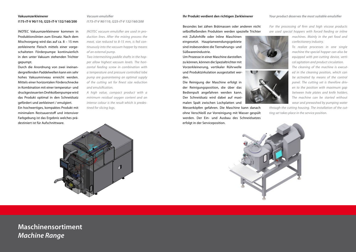### **Vakuumzerkleinerer I175-iT-V 90/110, I225-iT-V 132/160/200**

INOTEC Vakuumzerkleinerer kommen in Produktionslinien zum Einsatz. Nach dem Mischvorgang wird das auf ca. 8 – 15 mm zerkleinerte Fleisch mittels einer vorgeschalteten Förderpumpe kontinuierlich in den unter Vakuum stehenden Trichter gepumpt.

Durch die Anordnung von zwei ineinandergreifenden Paddelwellen kann ein sehr hohes Vakuumniveau erreicht werden. Mittels einer horizontalen Förderschnecke in Kombination mit einer temperatur- und druckgesteuerten Drehkolbenpumpe wird das Produkt optimal in den Schneidsatz gefördert und zerkleinert / emulgiert. Ein hochwertiges, kompaktes Produkt mit minimalem Restsauerstoff und intensiver Farbgebung ist das Ergebnis welches prä*Vacuum emulsifier I175-iT-V 90/110, I225-iT-V 132/160/200* 

*INOTEC vacuum emulsifier are used in production lines. After the mixing process the meat, size reduced to 8-15 mm, is fed continuously into the vacuum hopper by means of an external pump.*

*Two intermeshing paddle shafts in the hopper allow highest vacuum levels. The horizontal feeding screw in combination with a temperature and pressure controlled lobe pump are guaranteeing an optimal supply of the cutting set for finest size reduction and emulsification.*

*A high value, compact product with a minimum residual oxygen content and an intense colour is the result which is predestined for slicing logs.*

#### **Ihr Produkt verdient den richtigen Zerkleinerer**

Besondes bei zähen Brätmassen oder anderen nicht selbstfließenden Produkten werden spezielle Trichter

mit Zufuhrhilfe oder Inline Maschinen eingesetzt. Hauptanwendungsgebiete sind insbesondere die Tiernahrungs- und Süßwarenindustrie.

Um Prozesse in einer Maschine darstellen zu können, können die Spezialtrichter mit Vorzerkleinerung, vertikaler Rührwelle und Produktzirkulation ausgestattet werden.

Die Reinigung der Maschine erfolgt in der Reinigungsposition, die über das Bedienpult angefahren werden kann. Der Schneidsatz wird dabei auf maximalen Spalt zwischen Lochplatten und

Messerköpfen gefahren. Die Maschine kann danach ohne Verschleiß zur Vorreinigung mit Wasser gespült werden. Der Ein- und Ausbau des Schneidsatzes erfolgt in der Serviceposition.

*For the processing of firm and high viscose products are used special hoppers with forced feeding or inline* 

> *machines. Mainly in the pet food and confectionery industry.*

> *To realize processes in one single machine the special hopper can also be equipped with pre-cutting device, vertical agitation and product circulation.*

*The cleaning of the machine is executed in the cleaning position, which can be activated by means of the control panel. The cutting set is therefore driven to the position with maximum gap between hole plates and knife holders. The machine can be started without wear and prewashed by pumping water* 

*through the cutting housing. The installation of the cutting set takes place in the service position.*



w



## **Maschinensortiment** *Machine Range*

#### *Your product deserves the most suitable emulsifier*